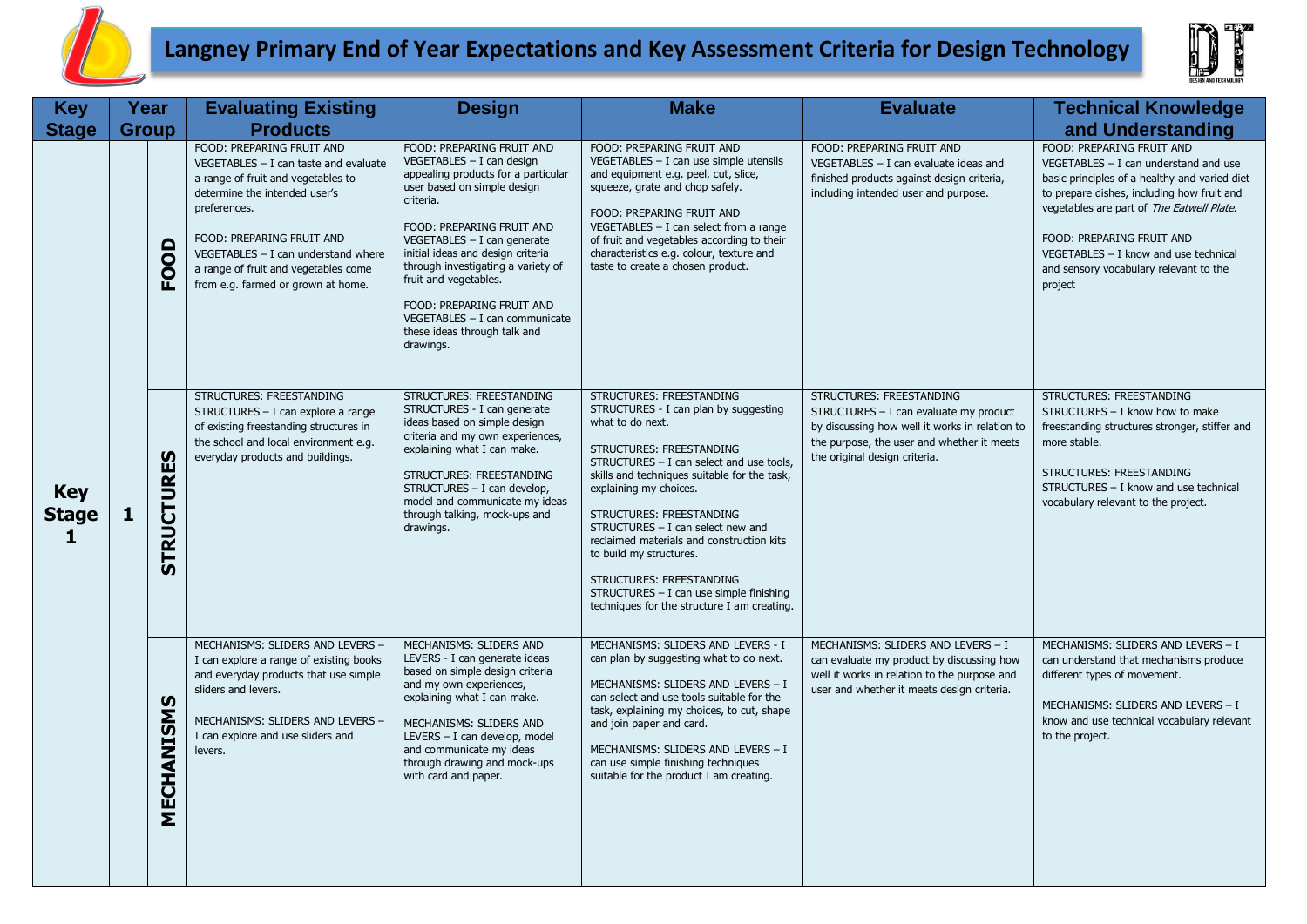

## **Langney Primary End of Year Expectations and Key Assessment Criteria for Design Technology**



| <b>Key</b>                      | Year         |                   | <b>Evaluating Existing</b>                                                                                                                                                                                                                                                                                      | <b>Design</b>                                                                                                                                                                                                                                                                                                                                                                                                           | <b>Make</b>                                                                                                                                                                                                                                                                                                                                                                                                                                                                                            | <b>Evaluate</b>                                                                                                                                                                                     | <b>Technical Knowledge</b>                                                                                                                                                                                                                                                                                                                  |
|---------------------------------|--------------|-------------------|-----------------------------------------------------------------------------------------------------------------------------------------------------------------------------------------------------------------------------------------------------------------------------------------------------------------|-------------------------------------------------------------------------------------------------------------------------------------------------------------------------------------------------------------------------------------------------------------------------------------------------------------------------------------------------------------------------------------------------------------------------|--------------------------------------------------------------------------------------------------------------------------------------------------------------------------------------------------------------------------------------------------------------------------------------------------------------------------------------------------------------------------------------------------------------------------------------------------------------------------------------------------------|-----------------------------------------------------------------------------------------------------------------------------------------------------------------------------------------------------|---------------------------------------------------------------------------------------------------------------------------------------------------------------------------------------------------------------------------------------------------------------------------------------------------------------------------------------------|
| <b>Stage</b>                    | <b>Group</b> |                   | <b>Products</b>                                                                                                                                                                                                                                                                                                 |                                                                                                                                                                                                                                                                                                                                                                                                                         |                                                                                                                                                                                                                                                                                                                                                                                                                                                                                                        |                                                                                                                                                                                                     | and Understanding                                                                                                                                                                                                                                                                                                                           |
| <b>Key</b><br><b>Stage</b><br>1 |              | FOOD              | FOOD: PREPARING FRUIT AND<br>$VEGETABLES - I can taste and evaluate$<br>a range of fruit and vegetables to<br>determine the intended user's<br>preferences.<br>FOOD: PREPARING FRUIT AND<br>$VEGETABLES - I can understand where$<br>a range of fruit and vegetables come<br>from e.g. farmed or grown at home. | FOOD: PREPARING FRUIT AND<br>VEGETABLES - I can design<br>appealing products for a particular<br>user based on simple design<br>criteria.<br>FOOD: PREPARING FRUIT AND<br>$VEGETABLES - I can generate$<br>initial ideas and design criteria<br>through investigating a variety of<br>fruit and vegetables.<br>FOOD: PREPARING FRUIT AND<br>VEGETABLES - I can communicate<br>these ideas through talk and<br>drawings. | FOOD: PREPARING FRUIT AND<br>VEGETABLES - I can use simple utensils<br>and equipment e.g. peel, cut, slice,<br>squeeze, grate and chop safely.<br>FOOD: PREPARING FRUIT AND<br>VEGETABLES $-$ I can select from a range<br>of fruit and vegetables according to their<br>characteristics e.g. colour, texture and<br>taste to create a chosen product.                                                                                                                                                 | FOOD: PREPARING FRUIT AND<br>VEGETABLES $- I$ can evaluate ideas and<br>finished products against design criteria,<br>including intended user and purpose.                                          | FOOD: PREPARING FRUIT AND<br>$VEGETABLES - I can understand and use$<br>basic principles of a healthy and varied diet<br>to prepare dishes, including how fruit and<br>vegetables are part of The Eatwell Plate.<br>FOOD: PREPARING FRUIT AND<br>VEGETABLES - I know and use technical<br>and sensory vocabulary relevant to the<br>project |
|                                 | 1            | <b>STRUCTURES</b> | STRUCTURES: FREESTANDING<br>STRUCTURES - I can explore a range<br>of existing freestanding structures in<br>the school and local environment e.g.<br>everyday products and buildings.                                                                                                                           | STRUCTURES: FREESTANDING<br>STRUCTURES - I can generate<br>ideas based on simple design<br>criteria and my own experiences,<br>explaining what I can make.<br>STRUCTURES: FREESTANDING<br>STRUCTURES - I can develop,<br>model and communicate my ideas<br>through talking, mock-ups and<br>drawings.                                                                                                                   | STRUCTURES: FREESTANDING<br>STRUCTURES - I can plan by suggesting<br>what to do next.<br>STRUCTURES: FREESTANDING<br>STRUCTURES - I can select and use tools,<br>skills and techniques suitable for the task,<br>explaining my choices.<br>STRUCTURES: FREESTANDING<br>STRUCTURES - I can select new and<br>reclaimed materials and construction kits<br>to build my structures.<br>STRUCTURES: FREESTANDING<br>STRUCTURES - I can use simple finishing<br>techniques for the structure I am creating. | STRUCTURES: FREESTANDING<br>STRUCTURES - I can evaluate my product<br>by discussing how well it works in relation to<br>the purpose, the user and whether it meets<br>the original design criteria. | STRUCTURES: FREESTANDING<br>STRUCTURES - I know how to make<br>freestanding structures stronger, stiffer and<br>more stable.<br>STRUCTURES: FREESTANDING<br>STRUCTURES - I know and use technical<br>vocabulary relevant to the project.                                                                                                    |
|                                 |              | MECHANISMS        | MECHANISMS: SLIDERS AND LEVERS -<br>I can explore a range of existing books<br>and everyday products that use simple<br>sliders and levers.<br>MECHANISMS: SLIDERS AND LEVERS -<br>I can explore and use sliders and<br>levers.                                                                                 | MECHANISMS: SLIDERS AND<br>LEVERS - I can generate ideas<br>based on simple design criteria<br>and my own experiences,<br>explaining what I can make.<br>MECHANISMS: SLIDERS AND<br>LEVERS - I can develop, model<br>and communicate my ideas<br>through drawing and mock-ups<br>with card and paper.                                                                                                                   | MECHANISMS: SLIDERS AND LEVERS - I<br>can plan by suggesting what to do next.<br>MECHANISMS: SLIDERS AND LEVERS - I<br>can select and use tools suitable for the<br>task, explaining my choices, to cut, shape<br>and join paper and card.<br>MECHANISMS: SLIDERS AND LEVERS - I<br>can use simple finishing techniques<br>suitable for the product I am creating.                                                                                                                                     | MECHANISMS: SLIDERS AND LEVERS - I<br>can evaluate my product by discussing how<br>well it works in relation to the purpose and<br>user and whether it meets design criteria.                       | MECHANISMS: SLIDERS AND LEVERS - I<br>can understand that mechanisms produce<br>different types of movement.<br>MECHANISMS: SLIDERS AND LEVERS - I<br>know and use technical vocabulary relevant<br>to the project.                                                                                                                         |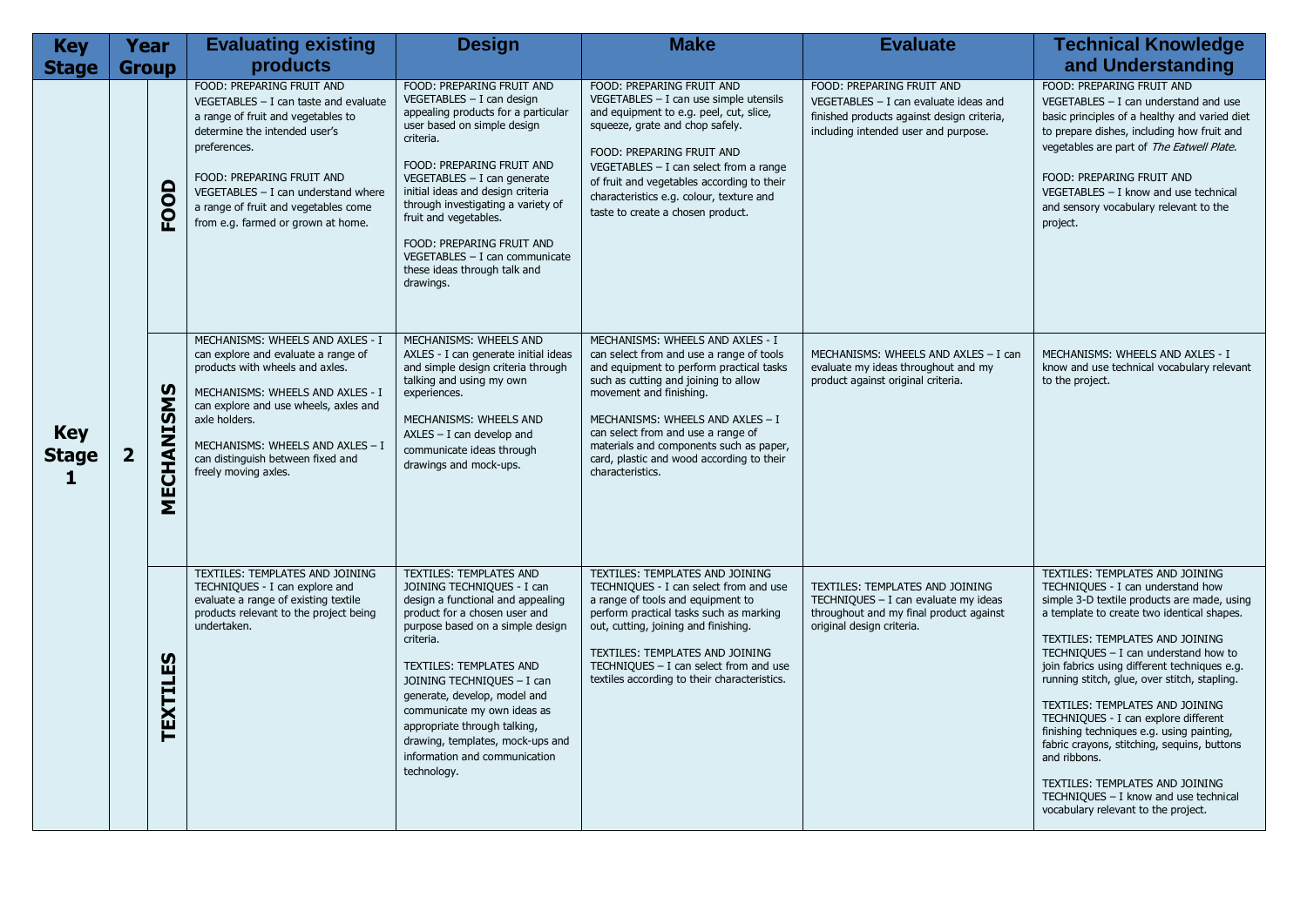| <b>Key</b>                      | <b>Year</b>    |                 | <b>Evaluating existing</b>                                                                                                                                                                                                                                                                                      | <b>Design</b>                                                                                                                                                                                                                                                                                                                                                                                                                   | <b>Make</b>                                                                                                                                                                                                                                                                                                                                                                       | <b>Evaluate</b>                                                                                                                                            | <b>Technical Knowledge</b>                                                                                                                                                                                                                                                                                                                                                                                                                                                                                                                                                                                                                               |
|---------------------------------|----------------|-----------------|-----------------------------------------------------------------------------------------------------------------------------------------------------------------------------------------------------------------------------------------------------------------------------------------------------------------|---------------------------------------------------------------------------------------------------------------------------------------------------------------------------------------------------------------------------------------------------------------------------------------------------------------------------------------------------------------------------------------------------------------------------------|-----------------------------------------------------------------------------------------------------------------------------------------------------------------------------------------------------------------------------------------------------------------------------------------------------------------------------------------------------------------------------------|------------------------------------------------------------------------------------------------------------------------------------------------------------|----------------------------------------------------------------------------------------------------------------------------------------------------------------------------------------------------------------------------------------------------------------------------------------------------------------------------------------------------------------------------------------------------------------------------------------------------------------------------------------------------------------------------------------------------------------------------------------------------------------------------------------------------------|
| <b>Stage</b>                    | <b>Group</b>   |                 | products                                                                                                                                                                                                                                                                                                        |                                                                                                                                                                                                                                                                                                                                                                                                                                 |                                                                                                                                                                                                                                                                                                                                                                                   |                                                                                                                                                            | and Understanding                                                                                                                                                                                                                                                                                                                                                                                                                                                                                                                                                                                                                                        |
|                                 |                | FOOD            | FOOD: PREPARING FRUIT AND<br>$VEGETABLES - I can taste and evaluate$<br>a range of fruit and vegetables to<br>determine the intended user's<br>preferences.<br>FOOD: PREPARING FRUIT AND<br>$VEGETABLES - I can understand where$<br>a range of fruit and vegetables come<br>from e.g. farmed or grown at home. | FOOD: PREPARING FRUIT AND<br>$VEGETABLES - I can design$<br>appealing products for a particular<br>user based on simple design<br>criteria.<br>FOOD: PREPARING FRUIT AND<br>$VEGETABLES - I can generate$<br>initial ideas and design criteria<br>through investigating a variety of<br>fruit and vegetables.<br>FOOD: PREPARING FRUIT AND<br>VEGETABLES - I can communicate<br>these ideas through talk and<br>drawings.       | FOOD: PREPARING FRUIT AND<br>VEGETABLES - I can use simple utensils<br>and equipment to e.g. peel, cut, slice,<br>squeeze, grate and chop safely.<br>FOOD: PREPARING FRUIT AND<br>VEGETABLES $-$ I can select from a range<br>of fruit and vegetables according to their<br>characteristics e.g. colour, texture and<br>taste to create a chosen product.                         | FOOD: PREPARING FRUIT AND<br>VEGETABLES $- I$ can evaluate ideas and<br>finished products against design criteria,<br>including intended user and purpose. | FOOD: PREPARING FRUIT AND<br>VEGETABLES $-$ I can understand and use<br>basic principles of a healthy and varied diet<br>to prepare dishes, including how fruit and<br>vegetables are part of The Eatwell Plate.<br>FOOD: PREPARING FRUIT AND<br>VEGETABLES - I know and use technical<br>and sensory vocabulary relevant to the<br>project.                                                                                                                                                                                                                                                                                                             |
| <b>Key</b><br><b>Stage</b><br>1 | $\overline{2}$ | MECHANISMS      | MECHANISMS: WHEELS AND AXLES - I<br>can explore and evaluate a range of<br>products with wheels and axles.<br>MECHANISMS: WHEELS AND AXLES - I<br>can explore and use wheels, axles and<br>axle holders.<br>MECHANISMS: WHEELS AND AXLES - I<br>can distinguish between fixed and<br>freely moving axles.       | MECHANISMS: WHEELS AND<br>AXLES - I can generate initial ideas<br>and simple design criteria through<br>talking and using my own<br>experiences.<br>MECHANISMS: WHEELS AND<br>$AXLES - I$ can develop and<br>communicate ideas through<br>drawings and mock-ups.                                                                                                                                                                | MECHANISMS: WHEELS AND AXLES - I<br>can select from and use a range of tools<br>and equipment to perform practical tasks<br>such as cutting and joining to allow<br>movement and finishing.<br>MECHANISMS: WHEELS AND AXLES - I<br>can select from and use a range of<br>materials and components such as paper,<br>card, plastic and wood according to their<br>characteristics. | MECHANISMS: WHEELS AND AXLES - I can<br>evaluate my ideas throughout and my<br>product against original criteria.                                          | MECHANISMS: WHEELS AND AXLES - I<br>know and use technical vocabulary relevant<br>to the project.                                                                                                                                                                                                                                                                                                                                                                                                                                                                                                                                                        |
|                                 |                | <b>TEXTILES</b> | TEXTILES: TEMPLATES AND JOINING<br>TECHNIQUES - I can explore and<br>evaluate a range of existing textile<br>products relevant to the project being<br>undertaken.                                                                                                                                              | <b>TEXTILES: TEMPLATES AND</b><br>JOINING TECHNIQUES - I can<br>design a functional and appealing<br>product for a chosen user and<br>purpose based on a simple design<br>criteria.<br>TEXTILES: TEMPLATES AND<br>JOINING TECHNIQUES - I can<br>generate, develop, model and<br>communicate my own ideas as<br>appropriate through talking,<br>drawing, templates, mock-ups and<br>information and communication<br>technology. | TEXTILES: TEMPLATES AND JOINING<br>TECHNIQUES - I can select from and use<br>a range of tools and equipment to<br>perform practical tasks such as marking<br>out, cutting, joining and finishing.<br>TEXTILES: TEMPLATES AND JOINING<br>TECHNIQUES $- I$ can select from and use<br>textiles according to their characteristics.                                                  | TEXTILES: TEMPLATES AND JOINING<br>TECHNIQUES - I can evaluate my ideas<br>throughout and my final product against<br>original design criteria.            | TEXTILES: TEMPLATES AND JOINING<br>TECHNIQUES - I can understand how<br>simple 3-D textile products are made, using<br>a template to create two identical shapes.<br>TEXTILES: TEMPLATES AND JOINING<br>TECHNIQUES $-$ I can understand how to<br>join fabrics using different techniques e.g.<br>running stitch, glue, over stitch, stapling.<br>TEXTILES: TEMPLATES AND JOINING<br>TECHNIQUES - I can explore different<br>finishing techniques e.g. using painting,<br>fabric crayons, stitching, sequins, buttons<br>and ribbons.<br>TEXTILES: TEMPLATES AND JOINING<br>TECHNIQUES - I know and use technical<br>vocabulary relevant to the project. |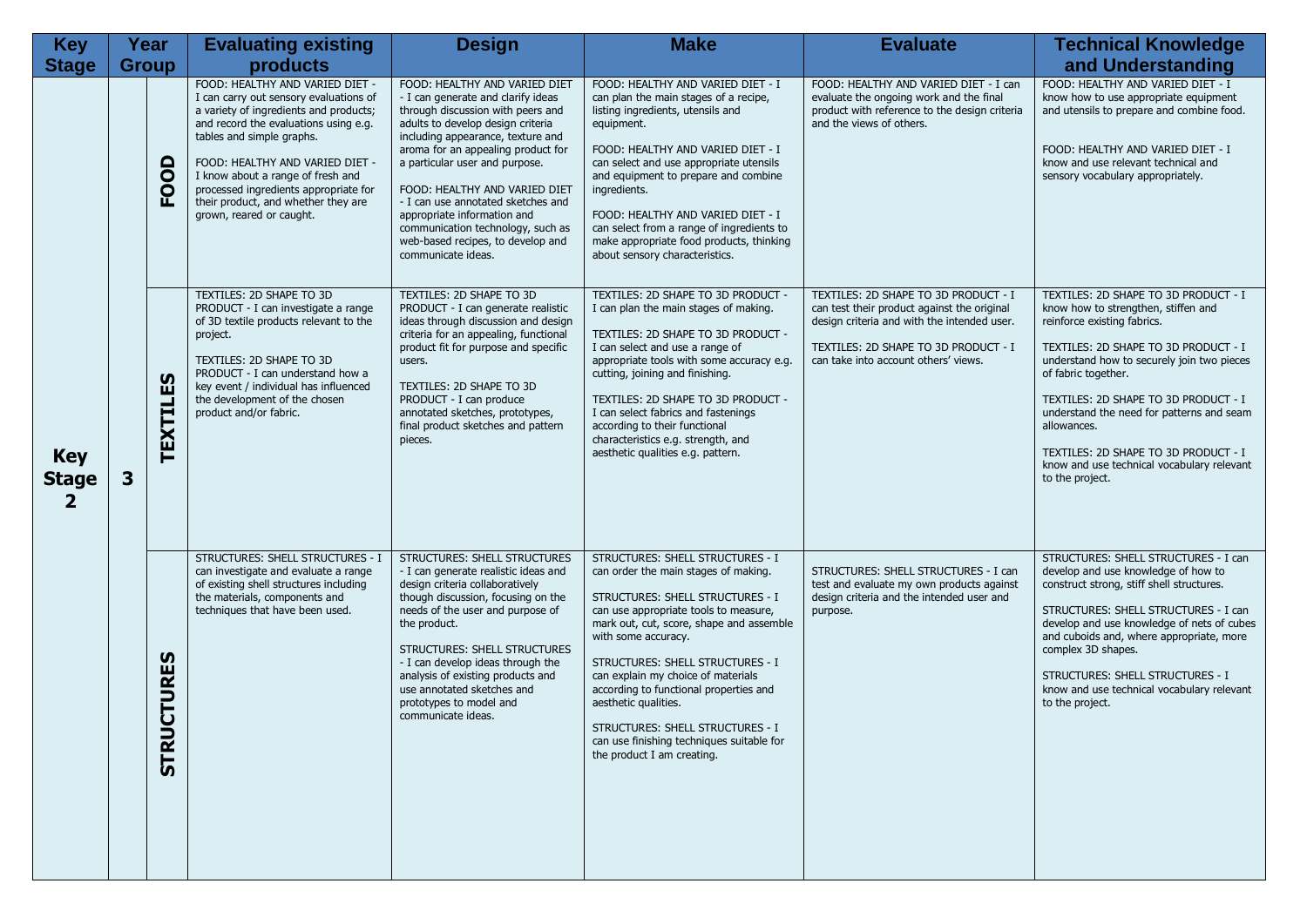| <b>Key</b>                      | Year |                              | <b>Evaluating existing</b>                                                                                                                                                                                                                                                                                                                                                    | <b>Design</b>                                                                                                                                                                                                                                                                                                                                                                                                                                                    | <b>Make</b>                                                                                                                                                                                                                                                                                                                                                                                                                                                                                | <b>Evaluate</b>                                                                                                                                                                                                    | <b>Technical Knowledge</b>                                                                                                                                                                                                                                                                                                                                                                                                           |
|---------------------------------|------|------------------------------|-------------------------------------------------------------------------------------------------------------------------------------------------------------------------------------------------------------------------------------------------------------------------------------------------------------------------------------------------------------------------------|------------------------------------------------------------------------------------------------------------------------------------------------------------------------------------------------------------------------------------------------------------------------------------------------------------------------------------------------------------------------------------------------------------------------------------------------------------------|--------------------------------------------------------------------------------------------------------------------------------------------------------------------------------------------------------------------------------------------------------------------------------------------------------------------------------------------------------------------------------------------------------------------------------------------------------------------------------------------|--------------------------------------------------------------------------------------------------------------------------------------------------------------------------------------------------------------------|--------------------------------------------------------------------------------------------------------------------------------------------------------------------------------------------------------------------------------------------------------------------------------------------------------------------------------------------------------------------------------------------------------------------------------------|
| <b>Stage</b>                    |      | <b>Group</b>                 | products                                                                                                                                                                                                                                                                                                                                                                      |                                                                                                                                                                                                                                                                                                                                                                                                                                                                  |                                                                                                                                                                                                                                                                                                                                                                                                                                                                                            |                                                                                                                                                                                                                    | and Understanding                                                                                                                                                                                                                                                                                                                                                                                                                    |
| <b>Key</b><br><b>Stage</b><br>2 |      | FOOD                         | FOOD: HEALTHY AND VARIED DIET -<br>I can carry out sensory evaluations of<br>a variety of ingredients and products;<br>and record the evaluations using e.g.<br>tables and simple graphs.<br>FOOD: HEALTHY AND VARIED DIET -<br>I know about a range of fresh and<br>processed ingredients appropriate for<br>their product, and whether they are<br>grown, reared or caught. | FOOD: HEALTHY AND VARIED DIET<br>- I can generate and clarify ideas<br>through discussion with peers and<br>adults to develop design criteria<br>including appearance, texture and<br>aroma for an appealing product for<br>a particular user and purpose.<br>FOOD: HEALTHY AND VARIED DIET<br>- I can use annotated sketches and<br>appropriate information and<br>communication technology, such as<br>web-based recipes, to develop and<br>communicate ideas. | FOOD: HEALTHY AND VARIED DIET - I<br>can plan the main stages of a recipe,<br>listing ingredients, utensils and<br>equipment.<br>FOOD: HEALTHY AND VARIED DIET - I<br>can select and use appropriate utensils<br>and equipment to prepare and combine<br>ingredients.<br>FOOD: HEALTHY AND VARIED DIET - I<br>can select from a range of ingredients to<br>make appropriate food products, thinking<br>about sensory characteristics.                                                      | FOOD: HEALTHY AND VARIED DIET - I can<br>evaluate the ongoing work and the final<br>product with reference to the design criteria<br>and the views of others.                                                      | FOOD: HEALTHY AND VARIED DIET - I<br>know how to use appropriate equipment<br>and utensils to prepare and combine food.<br>FOOD: HEALTHY AND VARIED DIET - I<br>know and use relevant technical and<br>sensory vocabulary appropriately.                                                                                                                                                                                             |
|                                 | 3    | TEXTILES                     | TEXTILES: 2D SHAPE TO 3D<br>PRODUCT - I can investigate a range<br>of 3D textile products relevant to the<br>project.<br>TEXTILES: 2D SHAPE TO 3D<br>PRODUCT - I can understand how a<br>key event / individual has influenced<br>the development of the chosen<br>product and/or fabric.                                                                                     | TEXTILES: 2D SHAPE TO 3D<br>PRODUCT - I can generate realistic<br>ideas through discussion and design<br>criteria for an appealing, functional<br>product fit for purpose and specific<br>users.<br>TEXTILES: 2D SHAPE TO 3D<br>PRODUCT - I can produce<br>annotated sketches, prototypes,<br>final product sketches and pattern<br>pieces.                                                                                                                      | TEXTILES: 2D SHAPE TO 3D PRODUCT -<br>I can plan the main stages of making.<br>TEXTILES: 2D SHAPE TO 3D PRODUCT -<br>I can select and use a range of<br>appropriate tools with some accuracy e.g.<br>cutting, joining and finishing.<br>TEXTILES: 2D SHAPE TO 3D PRODUCT -<br>I can select fabrics and fastenings<br>according to their functional<br>characteristics e.g. strength, and<br>aesthetic qualities e.g. pattern.                                                              | TEXTILES: 2D SHAPE TO 3D PRODUCT - I<br>can test their product against the original<br>design criteria and with the intended user.<br>TEXTILES: 2D SHAPE TO 3D PRODUCT - I<br>can take into account others' views. | TEXTILES: 2D SHAPE TO 3D PRODUCT - I<br>know how to strengthen, stiffen and<br>reinforce existing fabrics.<br>TEXTILES: 2D SHAPE TO 3D PRODUCT - I<br>understand how to securely join two pieces<br>of fabric together.<br>TEXTILES: 2D SHAPE TO 3D PRODUCT - I<br>understand the need for patterns and seam<br>allowances.<br>TEXTILES: 2D SHAPE TO 3D PRODUCT - I<br>know and use technical vocabulary relevant<br>to the project. |
|                                 |      | <b>CTURES</b><br><b>STRU</b> | <b>STRUCTURES: SHELL STRUCTURES - I</b><br>can investigate and evaluate a range<br>of existing shell structures including<br>the materials, components and<br>techniques that have been used.                                                                                                                                                                                 | <b>STRUCTURES: SHELL STRUCTURES</b><br>- I can generate realistic ideas and<br>design criteria collaboratively<br>though discussion, focusing on the<br>needs of the user and purpose of<br>the product.<br>STRUCTURES: SHELL STRUCTURES<br>- I can develop ideas through the<br>analysis of existing products and<br>use annotated sketches and<br>prototypes to model and<br>communicate ideas.                                                                | <b>STRUCTURES: SHELL STRUCTURES - I</b><br>can order the main stages of making.<br>STRUCTURES: SHELL STRUCTURES - I<br>can use appropriate tools to measure,<br>mark out, cut, score, shape and assemble<br>with some accuracy.<br>STRUCTURES: SHELL STRUCTURES - I<br>can explain my choice of materials<br>according to functional properties and<br>aesthetic qualities.<br>STRUCTURES: SHELL STRUCTURES - I<br>can use finishing techniques suitable for<br>the product I am creating. | STRUCTURES: SHELL STRUCTURES - I can<br>test and evaluate my own products against<br>design criteria and the intended user and<br>purpose.                                                                         | STRUCTURES: SHELL STRUCTURES - I can<br>develop and use knowledge of how to<br>construct strong, stiff shell structures.<br>STRUCTURES: SHELL STRUCTURES - I can<br>develop and use knowledge of nets of cubes<br>and cuboids and, where appropriate, more<br>complex 3D shapes.<br><b>STRUCTURES: SHELL STRUCTURES - I</b><br>know and use technical vocabulary relevant<br>to the project.                                         |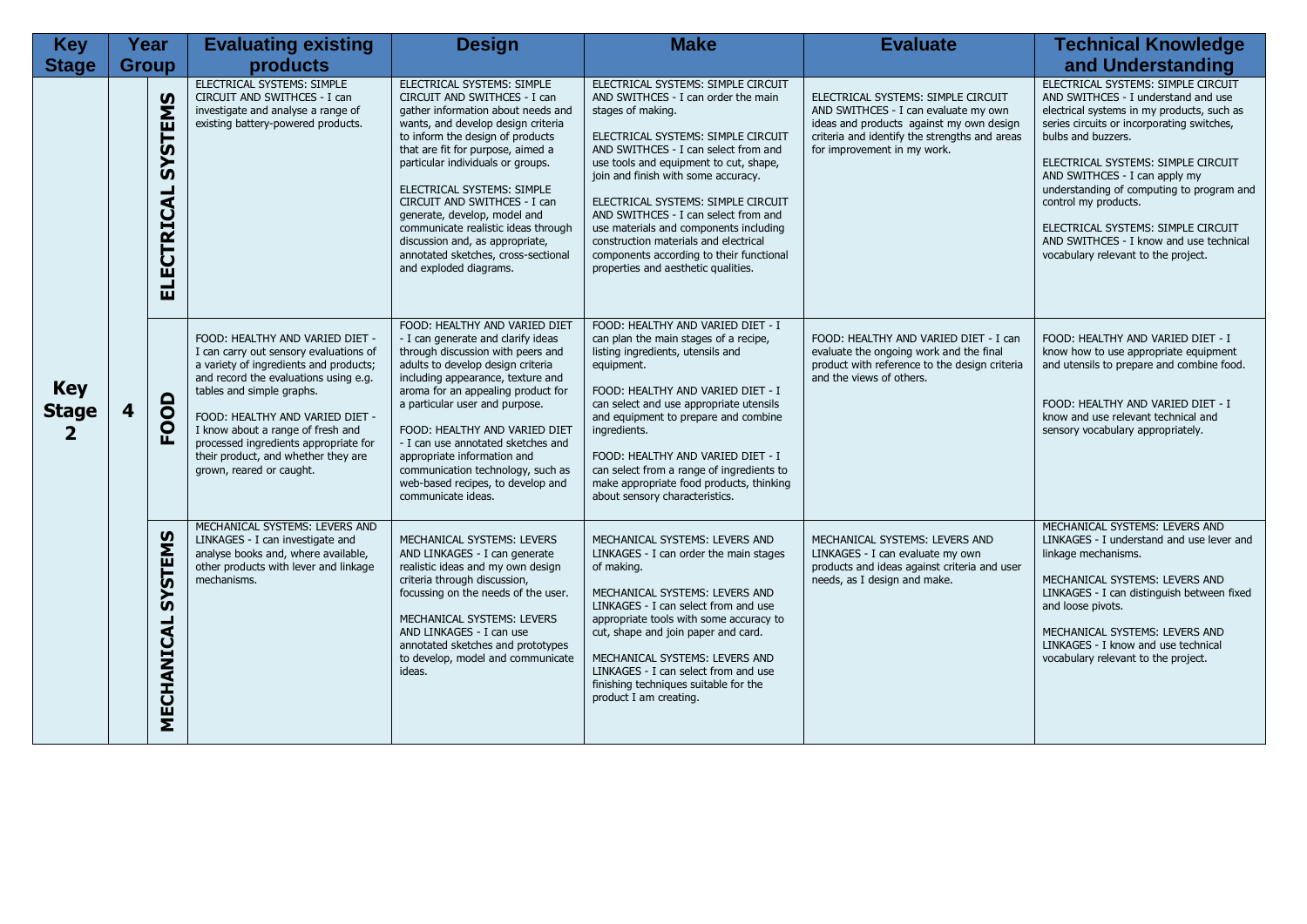| <b>Key</b>                                 |              | Year                         | <b>Evaluating existing</b>                                                                                                                                                                                                                                                                                                                                                    | <b>Design</b>                                                                                                                                                                                                                                                                                                                                                                                                                                                                                 | <b>Make</b>                                                                                                                                                                                                                                                                                                                                                                                                                                                                                                       | <b>Evaluate</b>                                                                                                                                                                                        | <b>Technical Knowledge</b>                                                                                                                                                                                                                                                                                                                                                                                                                                      |
|--------------------------------------------|--------------|------------------------------|-------------------------------------------------------------------------------------------------------------------------------------------------------------------------------------------------------------------------------------------------------------------------------------------------------------------------------------------------------------------------------|-----------------------------------------------------------------------------------------------------------------------------------------------------------------------------------------------------------------------------------------------------------------------------------------------------------------------------------------------------------------------------------------------------------------------------------------------------------------------------------------------|-------------------------------------------------------------------------------------------------------------------------------------------------------------------------------------------------------------------------------------------------------------------------------------------------------------------------------------------------------------------------------------------------------------------------------------------------------------------------------------------------------------------|--------------------------------------------------------------------------------------------------------------------------------------------------------------------------------------------------------|-----------------------------------------------------------------------------------------------------------------------------------------------------------------------------------------------------------------------------------------------------------------------------------------------------------------------------------------------------------------------------------------------------------------------------------------------------------------|
| <b>Stage</b>                               | <b>Group</b> |                              | products                                                                                                                                                                                                                                                                                                                                                                      |                                                                                                                                                                                                                                                                                                                                                                                                                                                                                               |                                                                                                                                                                                                                                                                                                                                                                                                                                                                                                                   |                                                                                                                                                                                                        | and Understanding                                                                                                                                                                                                                                                                                                                                                                                                                                               |
| <b>Key</b><br><b>Stage</b><br>$\mathbf{2}$ |              | <b>SYSTEMS</b><br>ELECTRICAL | ELECTRICAL SYSTEMS: SIMPLE<br>CIRCUIT AND SWITHCES - I can<br>investigate and analyse a range of<br>existing battery-powered products.                                                                                                                                                                                                                                        | ELECTRICAL SYSTEMS: SIMPLE<br>CIRCUIT AND SWITHCES - I can<br>gather information about needs and<br>wants, and develop design criteria<br>to inform the design of products<br>that are fit for purpose, aimed a<br>particular individuals or groups.<br>ELECTRICAL SYSTEMS: SIMPLE<br>CIRCUIT AND SWITHCES - I can<br>generate, develop, model and<br>communicate realistic ideas through<br>discussion and, as appropriate,<br>annotated sketches, cross-sectional<br>and exploded diagrams. | ELECTRICAL SYSTEMS: SIMPLE CIRCUIT<br>AND SWITHCES - I can order the main<br>stages of making.<br>ELECTRICAL SYSTEMS: SIMPLE CIRCUIT<br>AND SWITHCES - I can select from and<br>use tools and equipment to cut, shape,<br>join and finish with some accuracy.<br>ELECTRICAL SYSTEMS: SIMPLE CIRCUIT<br>AND SWITHCES - I can select from and<br>use materials and components including<br>construction materials and electrical<br>components according to their functional<br>properties and aesthetic qualities. | ELECTRICAL SYSTEMS: SIMPLE CIRCUIT<br>AND SWITHCES - I can evaluate my own<br>ideas and products against my own design<br>criteria and identify the strengths and areas<br>for improvement in my work. | ELECTRICAL SYSTEMS: SIMPLE CIRCUIT<br>AND SWITHCES - I understand and use<br>electrical systems in my products, such as<br>series circuits or incorporating switches,<br>bulbs and buzzers.<br>ELECTRICAL SYSTEMS: SIMPLE CIRCUIT<br>AND SWITHCES - I can apply my<br>understanding of computing to program and<br>control my products.<br>ELECTRICAL SYSTEMS: SIMPLE CIRCUIT<br>AND SWITHCES - I know and use technical<br>vocabulary relevant to the project. |
|                                            | 4            | FOOD                         | FOOD: HEALTHY AND VARIED DIET -<br>I can carry out sensory evaluations of<br>a variety of ingredients and products;<br>and record the evaluations using e.g.<br>tables and simple graphs.<br>FOOD: HEALTHY AND VARIED DIET -<br>I know about a range of fresh and<br>processed ingredients appropriate for<br>their product, and whether they are<br>grown, reared or caught. | FOOD: HEALTHY AND VARIED DIET<br>- I can generate and clarify ideas<br>through discussion with peers and<br>adults to develop design criteria<br>including appearance, texture and<br>aroma for an appealing product for<br>a particular user and purpose.<br>FOOD: HEALTHY AND VARIED DIET<br>- I can use annotated sketches and<br>appropriate information and<br>communication technology, such as<br>web-based recipes, to develop and<br>communicate ideas.                              | FOOD: HEALTHY AND VARIED DIET - I<br>can plan the main stages of a recipe,<br>listing ingredients, utensils and<br>equipment.<br>FOOD: HEALTHY AND VARIED DIET - I<br>can select and use appropriate utensils<br>and equipment to prepare and combine<br>ingredients.<br>FOOD: HEALTHY AND VARIED DIET - I<br>can select from a range of ingredients to<br>make appropriate food products, thinking<br>about sensory characteristics.                                                                             | FOOD: HEALTHY AND VARIED DIET - I can<br>evaluate the ongoing work and the final<br>product with reference to the design criteria<br>and the views of others.                                          | FOOD: HEALTHY AND VARIED DIET - I<br>know how to use appropriate equipment<br>and utensils to prepare and combine food.<br>FOOD: HEALTHY AND VARIED DIET - I<br>know and use relevant technical and<br>sensory vocabulary appropriately.                                                                                                                                                                                                                        |
|                                            |              | <b>SYSTEMS</b><br>MECHANICAL | MECHANICAL SYSTEMS: LEVERS AND<br>LINKAGES - I can investigate and<br>analyse books and, where available,<br>other products with lever and linkage<br>mechanisms.                                                                                                                                                                                                             | MECHANICAL SYSTEMS: LEVERS<br>AND LINKAGES - I can generate<br>realistic ideas and my own design<br>criteria through discussion,<br>focussing on the needs of the user.<br>MECHANICAL SYSTEMS: LEVERS<br>AND LINKAGES - I can use<br>annotated sketches and prototypes<br>to develop, model and communicate<br>ideas.                                                                                                                                                                         | MECHANICAL SYSTEMS: LEVERS AND<br>LINKAGES - I can order the main stages<br>of making.<br>MECHANICAL SYSTEMS: LEVERS AND<br>LINKAGES - I can select from and use<br>appropriate tools with some accuracy to<br>cut, shape and join paper and card.<br>MECHANICAL SYSTEMS: LEVERS AND<br>LINKAGES - I can select from and use<br>finishing techniques suitable for the<br>product I am creating.                                                                                                                   | MECHANICAL SYSTEMS: LEVERS AND<br>LINKAGES - I can evaluate my own<br>products and ideas against criteria and user<br>needs, as I design and make.                                                     | MECHANICAL SYSTEMS: LEVERS AND<br>LINKAGES - I understand and use lever and<br>linkage mechanisms.<br>MECHANICAL SYSTEMS: LEVERS AND<br>LINKAGES - I can distinguish between fixed<br>and loose pivots.<br>MECHANICAL SYSTEMS: LEVERS AND<br>LINKAGES - I know and use technical<br>vocabulary relevant to the project.                                                                                                                                         |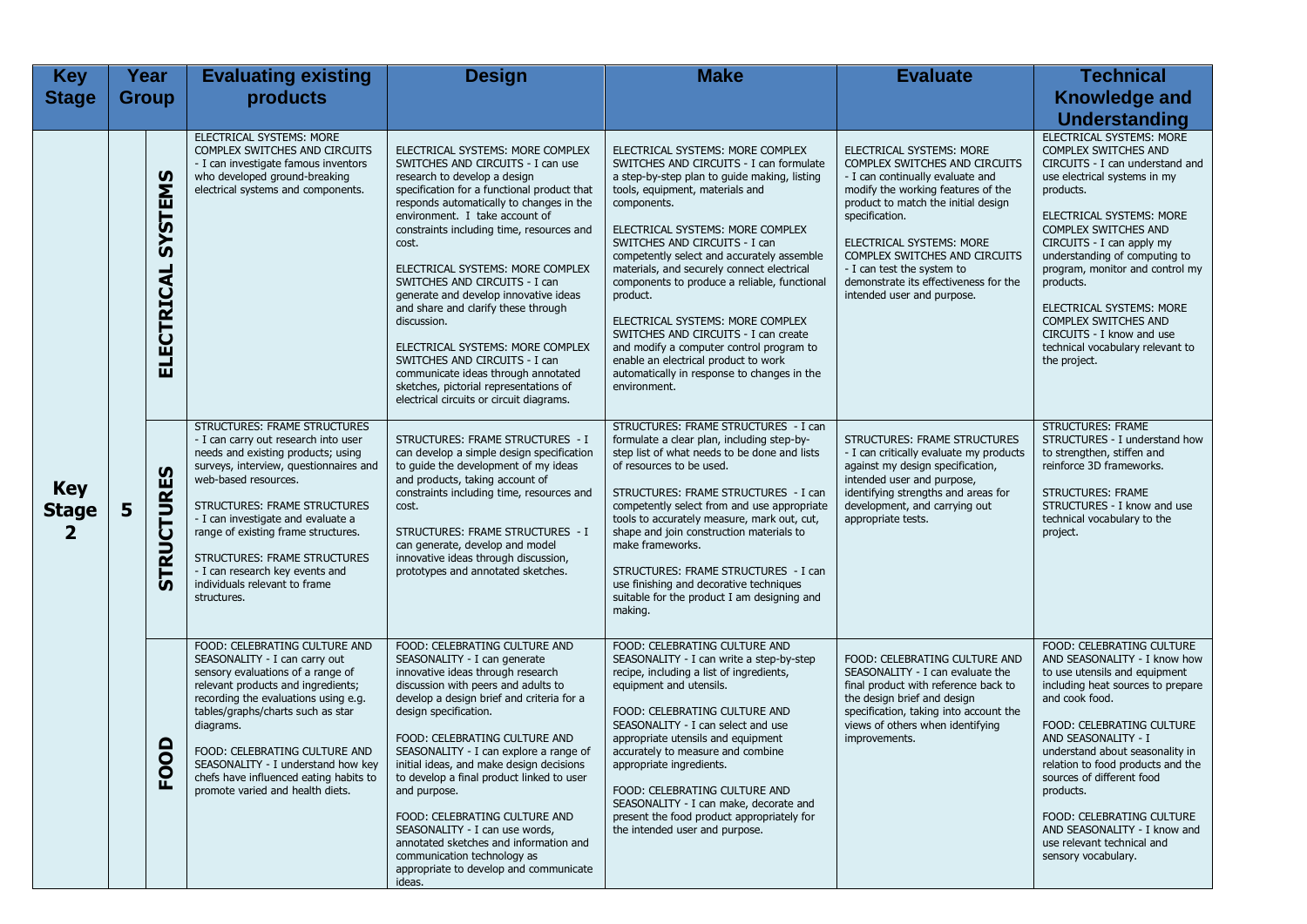| <b>Key</b>                                |              | Year                             | <b>Evaluating existing</b>                                                                                                                                                                                                                                                                                                                                                                                                 | <b>Design</b>                                                                                                                                                                                                                                                                                                                                                                                                                                                                                                                                                                                                                                                  | <b>Make</b>                                                                                                                                                                                                                                                                                                                                                                                                                                                                                                                                                                                                                               | <b>Evaluate</b>                                                                                                                                                                                                                                                                                                                                                | <b>Technical</b>                                                                                                                                                                                                                                                                                                                                                                                                                                      |
|-------------------------------------------|--------------|----------------------------------|----------------------------------------------------------------------------------------------------------------------------------------------------------------------------------------------------------------------------------------------------------------------------------------------------------------------------------------------------------------------------------------------------------------------------|----------------------------------------------------------------------------------------------------------------------------------------------------------------------------------------------------------------------------------------------------------------------------------------------------------------------------------------------------------------------------------------------------------------------------------------------------------------------------------------------------------------------------------------------------------------------------------------------------------------------------------------------------------------|-------------------------------------------------------------------------------------------------------------------------------------------------------------------------------------------------------------------------------------------------------------------------------------------------------------------------------------------------------------------------------------------------------------------------------------------------------------------------------------------------------------------------------------------------------------------------------------------------------------------------------------------|----------------------------------------------------------------------------------------------------------------------------------------------------------------------------------------------------------------------------------------------------------------------------------------------------------------------------------------------------------------|-------------------------------------------------------------------------------------------------------------------------------------------------------------------------------------------------------------------------------------------------------------------------------------------------------------------------------------------------------------------------------------------------------------------------------------------------------|
| <b>Stage</b>                              | <b>Group</b> |                                  | products                                                                                                                                                                                                                                                                                                                                                                                                                   |                                                                                                                                                                                                                                                                                                                                                                                                                                                                                                                                                                                                                                                                |                                                                                                                                                                                                                                                                                                                                                                                                                                                                                                                                                                                                                                           |                                                                                                                                                                                                                                                                                                                                                                | <b>Knowledge and</b>                                                                                                                                                                                                                                                                                                                                                                                                                                  |
|                                           |              |                                  |                                                                                                                                                                                                                                                                                                                                                                                                                            |                                                                                                                                                                                                                                                                                                                                                                                                                                                                                                                                                                                                                                                                |                                                                                                                                                                                                                                                                                                                                                                                                                                                                                                                                                                                                                                           |                                                                                                                                                                                                                                                                                                                                                                | <b>Understanding</b>                                                                                                                                                                                                                                                                                                                                                                                                                                  |
| <b>Key</b><br><b>Stage</b><br>$\mathbf 2$ |              | <b>STEMS</b><br>ັດ<br>ELECTRICAL | ELECTRICAL SYSTEMS: MORE<br>COMPLEX SWITCHES AND CIRCUITS<br>- I can investigate famous inventors<br>who developed ground-breaking<br>electrical systems and components.                                                                                                                                                                                                                                                   | ELECTRICAL SYSTEMS: MORE COMPLEX<br>SWITCHES AND CIRCUITS - I can use<br>research to develop a design<br>specification for a functional product that<br>responds automatically to changes in the<br>environment. I take account of<br>constraints including time, resources and<br>cost.<br>ELECTRICAL SYSTEMS: MORE COMPLEX<br>SWITCHES AND CIRCUITS - I can<br>generate and develop innovative ideas<br>and share and clarify these through<br>discussion.<br>ELECTRICAL SYSTEMS: MORE COMPLEX<br>SWITCHES AND CIRCUITS - I can<br>communicate ideas through annotated<br>sketches, pictorial representations of<br>electrical circuits or circuit diagrams. | ELECTRICAL SYSTEMS: MORE COMPLEX<br>SWITCHES AND CIRCUITS - I can formulate<br>a step-by-step plan to guide making, listing<br>tools, equipment, materials and<br>components.<br>ELECTRICAL SYSTEMS: MORE COMPLEX<br>SWITCHES AND CIRCUITS - I can<br>competently select and accurately assemble<br>materials, and securely connect electrical<br>components to produce a reliable, functional<br>product.<br>ELECTRICAL SYSTEMS: MORE COMPLEX<br>SWITCHES AND CIRCUITS - I can create<br>and modify a computer control program to<br>enable an electrical product to work<br>automatically in response to changes in the<br>environment. | ELECTRICAL SYSTEMS: MORE<br>COMPLEX SWITCHES AND CIRCUITS<br>- I can continually evaluate and<br>modify the working features of the<br>product to match the initial design<br>specification.<br>ELECTRICAL SYSTEMS: MORE<br>COMPLEX SWITCHES AND CIRCUITS<br>- I can test the system to<br>demonstrate its effectiveness for the<br>intended user and purpose. | <b>ELECTRICAL SYSTEMS: MORE</b><br><b>COMPLEX SWITCHES AND</b><br>CIRCUITS - I can understand and<br>use electrical systems in my<br>products.<br>ELECTRICAL SYSTEMS: MORE<br>COMPLEX SWITCHES AND<br>CIRCUITS - I can apply my<br>understanding of computing to<br>program, monitor and control my<br>products.<br>ELECTRICAL SYSTEMS: MORE<br>COMPLEX SWITCHES AND<br>CIRCUITS - I know and use<br>technical vocabulary relevant to<br>the project. |
|                                           | 5            | <b>STRUCTURES</b>                | <b>STRUCTURES: FRAME STRUCTURES</b><br>- I can carry out research into user<br>needs and existing products; using<br>surveys, interview, questionnaires and<br>web-based resources.<br><b>STRUCTURES: FRAME STRUCTURES</b><br>- I can investigate and evaluate a<br>range of existing frame structures.<br>STRUCTURES: FRAME STRUCTURES<br>- I can research key events and<br>individuals relevant to frame<br>structures. | STRUCTURES: FRAME STRUCTURES - I<br>can develop a simple design specification<br>to quide the development of my ideas<br>and products, taking account of<br>constraints including time, resources and<br>cost.<br>STRUCTURES: FRAME STRUCTURES - I<br>can generate, develop and model<br>innovative ideas through discussion,<br>prototypes and annotated sketches.                                                                                                                                                                                                                                                                                            | STRUCTURES: FRAME STRUCTURES - I can<br>formulate a clear plan, including step-by-<br>step list of what needs to be done and lists<br>of resources to be used.<br>STRUCTURES: FRAME STRUCTURES - I can<br>competently select from and use appropriate<br>tools to accurately measure, mark out, cut,<br>shape and join construction materials to<br>make frameworks.<br>STRUCTURES: FRAME STRUCTURES - I can<br>use finishing and decorative techniques<br>suitable for the product I am designing and<br>making.                                                                                                                         | STRUCTURES: FRAME STRUCTURES<br>- I can critically evaluate my products<br>against my design specification,<br>intended user and purpose,<br>identifying strengths and areas for<br>development, and carrying out<br>appropriate tests.                                                                                                                        | <b>STRUCTURES: FRAME</b><br>STRUCTURES - I understand how<br>to strengthen, stiffen and<br>reinforce 3D frameworks.<br><b>STRUCTURES: FRAME</b><br>STRUCTURES - I know and use<br>technical vocabulary to the<br>project.                                                                                                                                                                                                                             |
|                                           |              | $\mathsf{a}$<br>ဥ                | FOOD: CELEBRATING CULTURE AND<br>SEASONALITY - I can carry out<br>sensory evaluations of a range of<br>relevant products and ingredients;<br>recording the evaluations using e.g.<br>tables/graphs/charts such as star<br>diagrams.<br>FOOD: CELEBRATING CULTURE AND<br>SEASONALITY - I understand how key<br>chefs have influenced eating habits to<br>promote varied and health diets.                                   | FOOD: CELEBRATING CULTURE AND<br>SEASONALITY - I can generate<br>innovative ideas through research<br>discussion with peers and adults to<br>develop a design brief and criteria for a<br>design specification.<br>FOOD: CELEBRATING CULTURE AND<br>SEASONALITY - I can explore a range of<br>initial ideas, and make design decisions<br>to develop a final product linked to user<br>and purpose.<br>FOOD: CELEBRATING CULTURE AND<br>SEASONALITY - I can use words,<br>annotated sketches and information and<br>communication technology as<br>appropriate to develop and communicate<br>ideas.                                                            | FOOD: CELEBRATING CULTURE AND<br>SEASONALITY - I can write a step-by-step<br>recipe, including a list of ingredients,<br>equipment and utensils.<br>FOOD: CELEBRATING CULTURE AND<br>SEASONALITY - I can select and use<br>appropriate utensils and equipment<br>accurately to measure and combine<br>appropriate ingredients.<br>FOOD: CELEBRATING CULTURE AND<br>SEASONALITY - I can make, decorate and<br>present the food product appropriately for<br>the intended user and purpose.                                                                                                                                                 | FOOD: CELEBRATING CULTURE AND<br>SEASONALITY - I can evaluate the<br>final product with reference back to<br>the design brief and design<br>specification, taking into account the<br>views of others when identifying<br>improvements.                                                                                                                        | FOOD: CELEBRATING CULTURE<br>AND SEASONALITY - I know how<br>to use utensils and equipment<br>including heat sources to prepare<br>and cook food.<br>FOOD: CELEBRATING CULTURE<br>AND SEASONALITY - I<br>understand about seasonality in<br>relation to food products and the<br>sources of different food<br>products.<br>FOOD: CELEBRATING CULTURE<br>AND SEASONALITY - I know and<br>use relevant technical and<br>sensory vocabulary.             |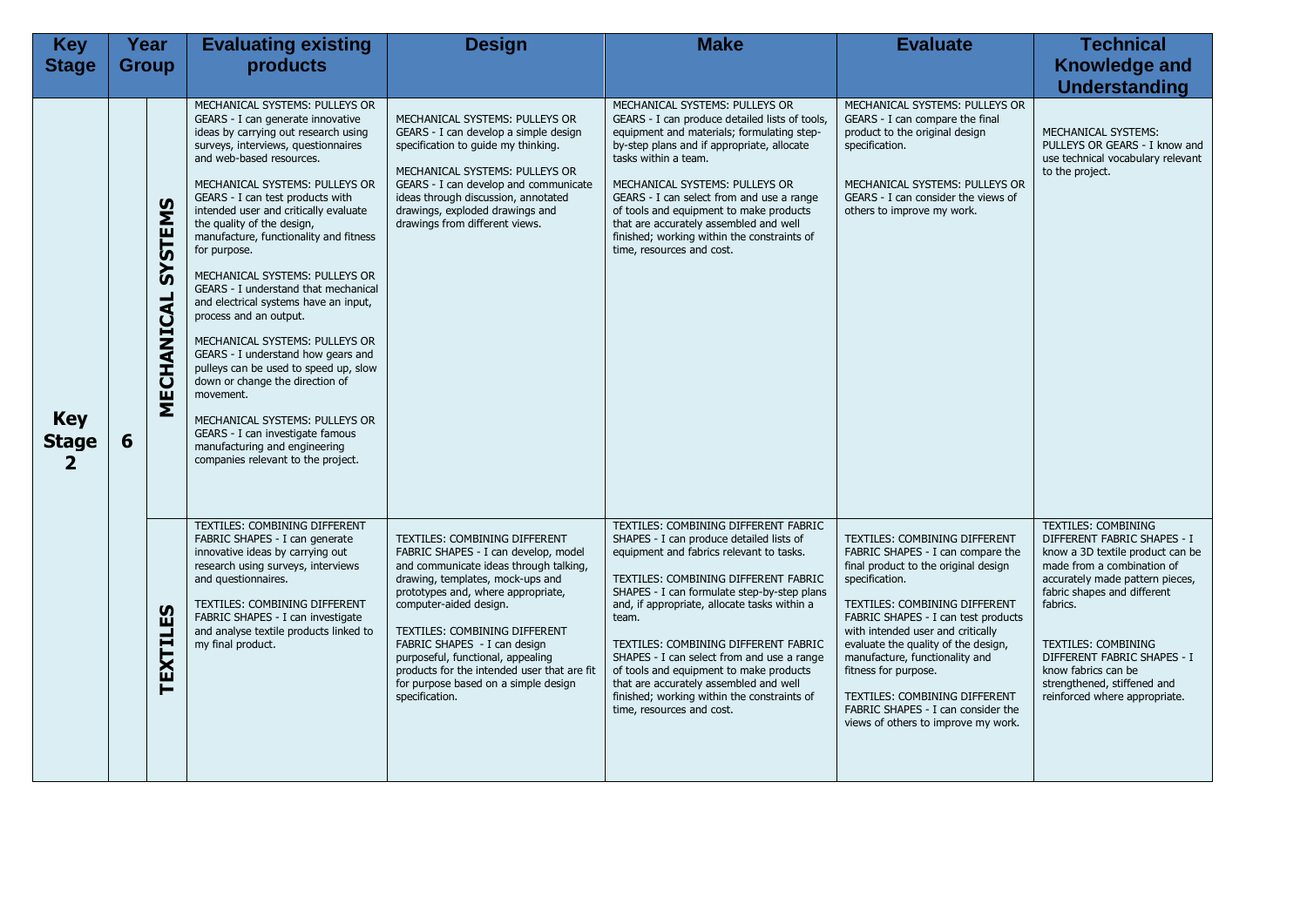| <b>Key</b>                                 | Year         |                       | <b>Evaluating existing</b>                                                                                                                                                                                                                                                                                                                                                                                                                                                                                                                                                                                                                                                                                                                                                                                                                       | <b>Design</b>                                                                                                                                                                                                                                                                                                                                                                                                                      | <b>Make</b>                                                                                                                                                                                                                                                                                                                                                                                                                                                                                                                         | <b>Evaluate</b>                                                                                                                                                                                                                                                                                                                                                                                                                                                 | <b>Technical</b>                                                                                                                                                                                                                                                                                                                                       |
|--------------------------------------------|--------------|-----------------------|--------------------------------------------------------------------------------------------------------------------------------------------------------------------------------------------------------------------------------------------------------------------------------------------------------------------------------------------------------------------------------------------------------------------------------------------------------------------------------------------------------------------------------------------------------------------------------------------------------------------------------------------------------------------------------------------------------------------------------------------------------------------------------------------------------------------------------------------------|------------------------------------------------------------------------------------------------------------------------------------------------------------------------------------------------------------------------------------------------------------------------------------------------------------------------------------------------------------------------------------------------------------------------------------|-------------------------------------------------------------------------------------------------------------------------------------------------------------------------------------------------------------------------------------------------------------------------------------------------------------------------------------------------------------------------------------------------------------------------------------------------------------------------------------------------------------------------------------|-----------------------------------------------------------------------------------------------------------------------------------------------------------------------------------------------------------------------------------------------------------------------------------------------------------------------------------------------------------------------------------------------------------------------------------------------------------------|--------------------------------------------------------------------------------------------------------------------------------------------------------------------------------------------------------------------------------------------------------------------------------------------------------------------------------------------------------|
| <b>Stage</b>                               | <b>Group</b> |                       | products                                                                                                                                                                                                                                                                                                                                                                                                                                                                                                                                                                                                                                                                                                                                                                                                                                         |                                                                                                                                                                                                                                                                                                                                                                                                                                    |                                                                                                                                                                                                                                                                                                                                                                                                                                                                                                                                     |                                                                                                                                                                                                                                                                                                                                                                                                                                                                 | <b>Knowledge and</b>                                                                                                                                                                                                                                                                                                                                   |
|                                            |              |                       |                                                                                                                                                                                                                                                                                                                                                                                                                                                                                                                                                                                                                                                                                                                                                                                                                                                  |                                                                                                                                                                                                                                                                                                                                                                                                                                    |                                                                                                                                                                                                                                                                                                                                                                                                                                                                                                                                     |                                                                                                                                                                                                                                                                                                                                                                                                                                                                 | <b>Understanding</b>                                                                                                                                                                                                                                                                                                                                   |
| <b>Key</b><br><b>Stage</b><br>$\mathbf{2}$ | 6            | SYSTEMS<br>MECHANICAL | MECHANICAL SYSTEMS: PULLEYS OR<br>GEARS - I can generate innovative<br>ideas by carrying out research using<br>surveys, interviews, questionnaires<br>and web-based resources.<br>MECHANICAL SYSTEMS: PULLEYS OR<br>GEARS - I can test products with<br>intended user and critically evaluate<br>the quality of the design,<br>manufacture, functionality and fitness<br>for purpose.<br>MECHANICAL SYSTEMS: PULLEYS OR<br>GEARS - I understand that mechanical<br>and electrical systems have an input,<br>process and an output.<br>MECHANICAL SYSTEMS: PULLEYS OR<br>GEARS - I understand how gears and<br>pulleys can be used to speed up, slow<br>down or change the direction of<br>movement.<br>MECHANICAL SYSTEMS: PULLEYS OR<br>GEARS - I can investigate famous<br>manufacturing and engineering<br>companies relevant to the project. | MECHANICAL SYSTEMS: PULLEYS OR<br>GEARS - I can develop a simple design<br>specification to quide my thinking.<br>MECHANICAL SYSTEMS: PULLEYS OR<br>GEARS - I can develop and communicate<br>ideas through discussion, annotated<br>drawings, exploded drawings and<br>drawings from different views.                                                                                                                              | MECHANICAL SYSTEMS: PULLEYS OR<br>GEARS - I can produce detailed lists of tools,<br>equipment and materials; formulating step-<br>by-step plans and if appropriate, allocate<br>tasks within a team.<br>MECHANICAL SYSTEMS: PULLEYS OR<br>GEARS - I can select from and use a range<br>of tools and equipment to make products<br>that are accurately assembled and well<br>finished; working within the constraints of<br>time, resources and cost.                                                                                | MECHANICAL SYSTEMS: PULLEYS OR<br>GEARS - I can compare the final<br>product to the original design<br>specification.<br>MECHANICAL SYSTEMS: PULLEYS OR<br>GEARS - I can consider the views of<br>others to improve my work.                                                                                                                                                                                                                                    | MECHANICAL SYSTEMS:<br>PULLEYS OR GEARS - I know and<br>use technical vocabulary relevant<br>to the project.                                                                                                                                                                                                                                           |
|                                            |              | TEXTILES              | TEXTILES: COMBINING DIFFERENT<br>FABRIC SHAPES - I can generate<br>innovative ideas by carrying out<br>research using surveys, interviews<br>and questionnaires.<br>TEXTILES: COMBINING DIFFERENT<br>FABRIC SHAPES - I can investigate<br>and analyse textile products linked to<br>my final product.                                                                                                                                                                                                                                                                                                                                                                                                                                                                                                                                            | TEXTILES: COMBINING DIFFERENT<br>FABRIC SHAPES - I can develop, model<br>and communicate ideas through talking,<br>drawing, templates, mock-ups and<br>prototypes and, where appropriate,<br>computer-aided design.<br>TEXTILES: COMBINING DIFFERENT<br>FABRIC SHAPES - I can design<br>purposeful, functional, appealing<br>products for the intended user that are fit<br>for purpose based on a simple design<br>specification. | TEXTILES: COMBINING DIFFERENT FABRIC<br>SHAPES - I can produce detailed lists of<br>equipment and fabrics relevant to tasks.<br>TEXTILES: COMBINING DIFFERENT FABRIC<br>SHAPES - I can formulate step-by-step plans<br>and, if appropriate, allocate tasks within a<br>team.<br>TEXTILES: COMBINING DIFFERENT FABRIC<br>SHAPES - I can select from and use a range<br>of tools and equipment to make products<br>that are accurately assembled and well<br>finished; working within the constraints of<br>time, resources and cost. | TEXTILES: COMBINING DIFFERENT<br>FABRIC SHAPES - I can compare the<br>final product to the original design<br>specification.<br>TEXTILES: COMBINING DIFFERENT<br>FABRIC SHAPES - I can test products<br>with intended user and critically<br>evaluate the quality of the design,<br>manufacture, functionality and<br>fitness for purpose.<br><b>TEXTILES: COMBINING DIFFERENT</b><br>FABRIC SHAPES - I can consider the<br>views of others to improve my work. | <b>TEXTILES: COMBINING</b><br>DIFFERENT FABRIC SHAPES - I<br>know a 3D textile product can be<br>made from a combination of<br>accurately made pattern pieces,<br>fabric shapes and different<br>fabrics.<br>TEXTILES: COMBINING<br>DIFFERENT FABRIC SHAPES - I<br>know fabrics can be<br>strengthened, stiffened and<br>reinforced where appropriate. |